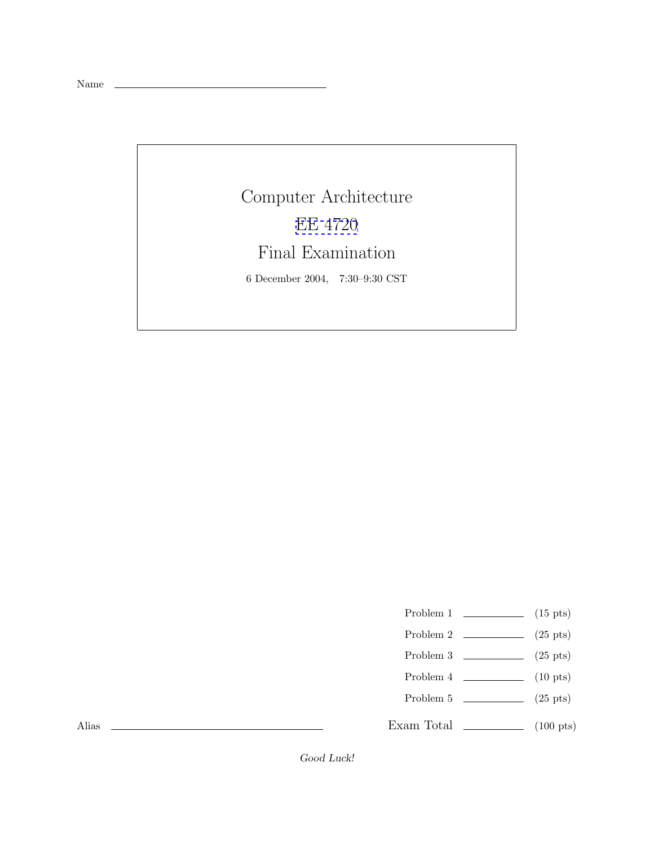Name

Computer Architecture [EE 4720](http://www.ece.lsu.edu/ee4720/) Final Examination 6 December 2004, 7:30–9:30 CST

Problem 1  $\qquad \qquad$  (15 pts)

- Problem 2 (25 pts)
- Problem 3  $\qquad \qquad (25 \text{ pts})$
- Problem 4  $\qquad \qquad$  (10 pts)
- Problem 5  $(25 \text{ pts})$

Exam Total \_\_\_\_\_\_\_\_\_\_\_\_\_ (100 pts)

Alias

Good Luck!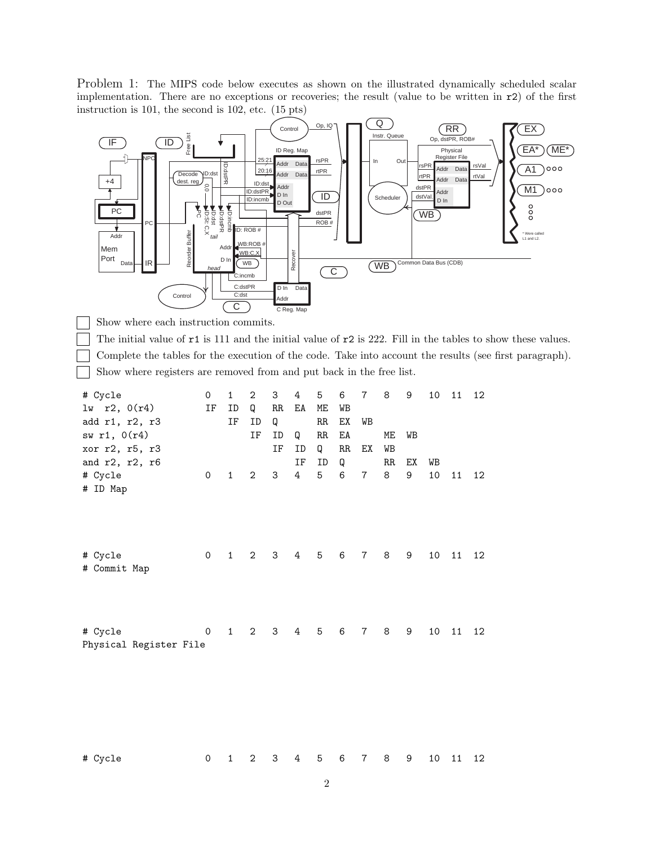Problem 1: The MIPS code below executes as shown on the illustrated dynamically scheduled scalar implementation. There are no exceptions or recoveries; the result (value to be written in r2) of the first instruction is 101, the second is 102, etc. (15 pts)



# Cycle 0 1 2 3 4 5 6 7 8 9 10 11 12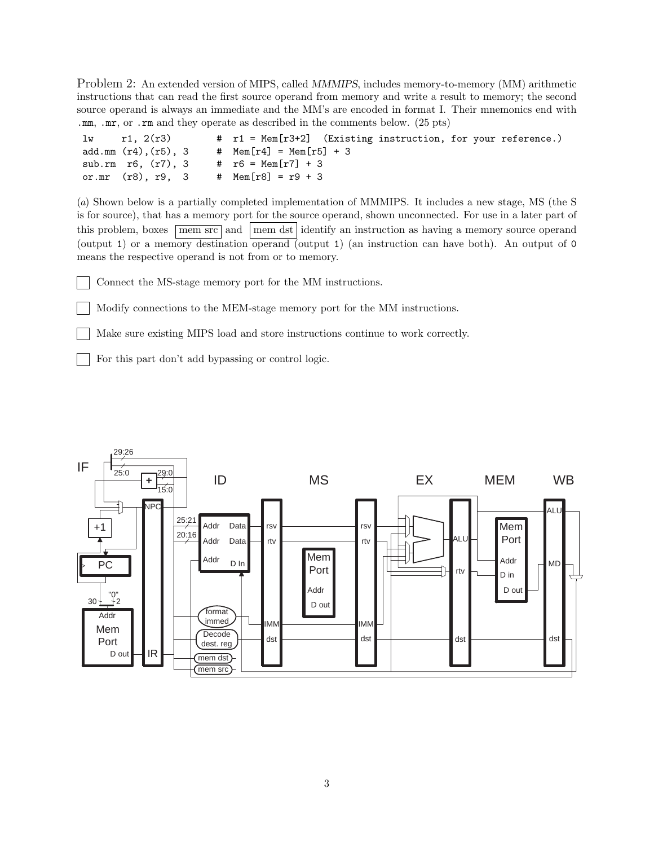Problem 2: An extended version of MIPS, called MMMIPS, includes memory-to-memory (MM) arithmetic instructions that can read the first source operand from memory and write a result to memory; the second source operand is always an immediate and the MM's are encoded in format I. Their mnemonics end with .mm, .mr, or .rm and they operate as described in the comments below. (25 pts)

| lw | r1, 2(r3)                |  | # r1 = Mem[r3+2] (Existing instruction, for your reference.) |
|----|--------------------------|--|--------------------------------------------------------------|
|    | add.mm (r4),(r5), 3      |  | # $Mem[r4] = Mem[r5] + 3$                                    |
|    | sub.rm $r6$ , $(r7)$ , 3 |  | # $r6 = \text{Mem}[r7] + 3$                                  |
|    | or.mr (r8), r9, 3        |  | # $Mem[r8] = r9 + 3$                                         |

(*a*) Shown below is a partially completed implementation of MMMIPS. It includes a new stage, MS (the S is for source), that has a memory port for the source operand, shown unconnected. For use in a later part of this problem, boxes  $\boxed{\text{mem src}}$  and  $\boxed{\text{mem dst}}$  identify an instruction as having a memory source operand (output 1) or a memory destination operand (output 1) (an instruction can have both). An output of 0 means the respective operand is not from or to memory.

Connect the MS-stage memory port for the MM instructions.

Modify connections to the MEM-stage memory port for the MM instructions.

Make sure existing MIPS load and store instructions continue to work correctly.

For this part don't add bypassing or control logic.

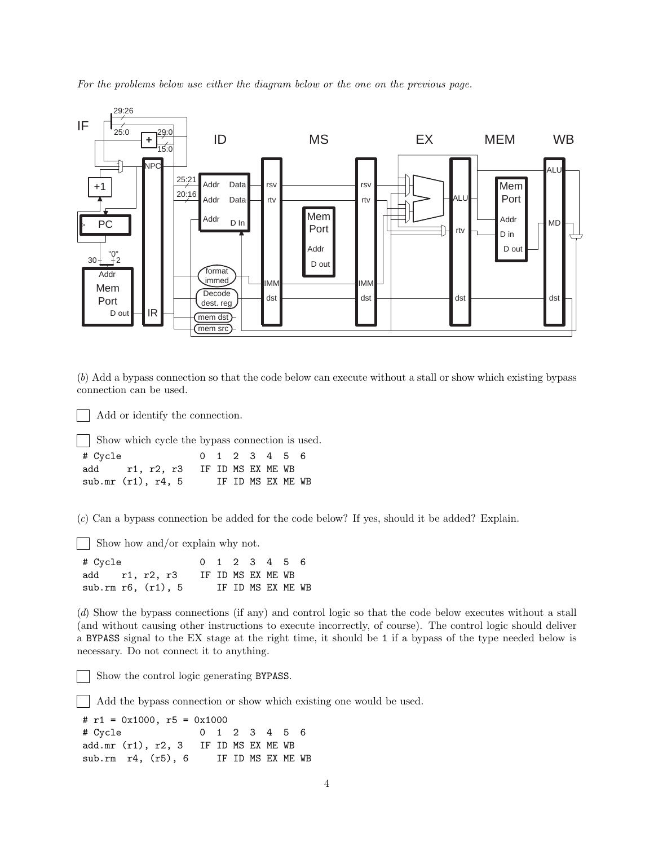*For the problems below use either the diagram below or the one on the previous page.*



(*b*) Add a bypass connection so that the code below can execute without a stall or show which existing bypass connection can be used.

Add or identify the connection.

Show which cycle the bypass connection is used.

| # Cycle                          | 0 1 2 3 4 5 6 |  |                   |  |
|----------------------------------|---------------|--|-------------------|--|
| add r1, r2, r3 IF ID MS EX ME WB |               |  |                   |  |
| sub.mr $(r1)$ , r4, 5            |               |  | IF ID MS EX ME WB |  |

(*c*) Can a bypass connection be added for the code below? If yes, should it be added? Explain.

Show how and/or explain why not.

# Cycle 0 1 2 3 4 5 6 add r1, r2, r3 IF ID MS EX ME WB sub.rm r6, (r1), 5 IF ID MS EX ME WB

(*d*) Show the bypass connections (if any) and control logic so that the code below executes without a stall (and without causing other instructions to execute incorrectly, of course). The control logic should deliver a BYPASS signal to the EX stage at the right time, it should be 1 if a bypass of the type needed below is necessary. Do not connect it to anything.

Show the control logic generating BYPASS.

Add the bypass connection or show which existing one would be used.

```
# r1 = 0x1000, r5 = 0x1000
# Cycle 0 1 2 3 4 5 6
add.mr (r1), r2, 3 IF ID MS EX ME WB
sub.rm r4, (r5), 6 IF ID MS EX ME WB
```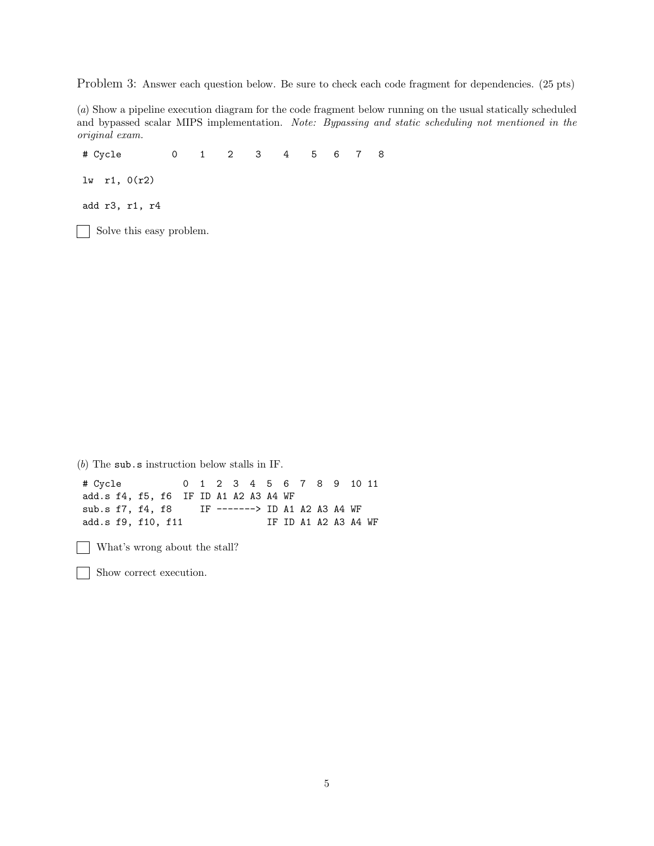Problem 3: Answer each question below. Be sure to check each code fragment for dependencies. (25 pts)

(*a*) Show a pipeline execution diagram for the code fragment below running on the usual statically scheduled and bypassed scalar MIPS implementation. *Note: Bypassing and static scheduling not mentioned in the original exam.*

# Cycle 0 1 2 3 4 5678 lw r1, 0(r2) add r3, r1, r4 Solve this easy problem.

(*b*) The sub.s instruction below stalls in IF. # Cycle 0 1 2 3 4 5 6 7 8 9 10 11 add.s f4, f5, f6 IF ID A1 A2 A3 A4 WF sub.s f7, f4, f8 IF -------> ID A1 A2 A3 A4 WF add.s f9, f10, f11 IF ID A1 A2 A3 A4 WF

What's wrong about the stall?

Show correct execution.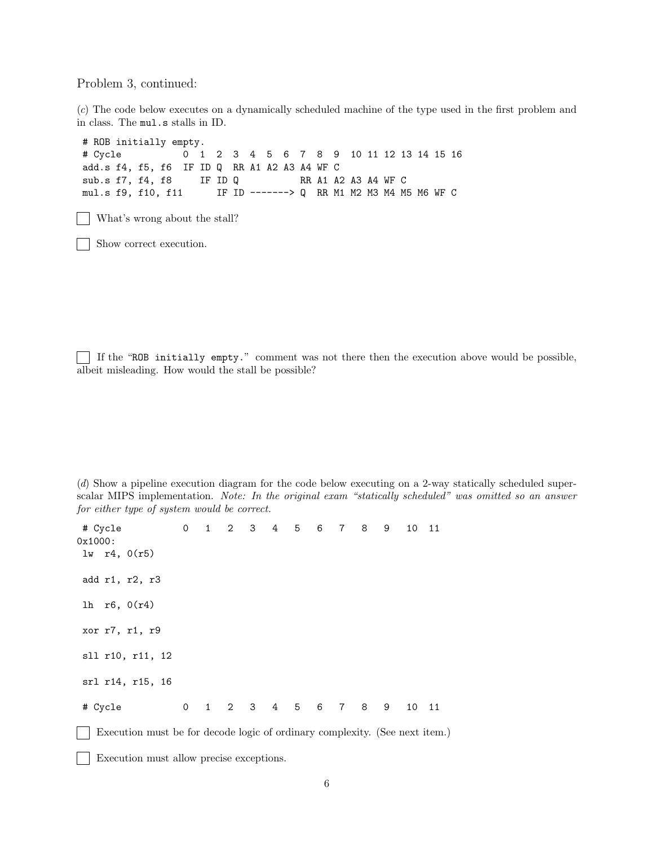Problem 3, continued:

(*c*) The code below executes on a dynamically scheduled machine of the type used in the first problem and in class. The mul.s stalls in ID.

# ROB initially empty. # Cycle 0 1 2 3 4 5 6 7 8 9 10 11 12 13 14 15 16 add.s f4, f5, f6 IF ID Q RR A1 A2 A3 A4 WF C sub.s f7, f4, f8 IF ID Q RR A1 A2 A3 A4 WF C mul.s f9, f10, f11 IF ID -------> Q RR M1 M2 M3 M4 M5 M6 WF C What's wrong about the stall?  $\mathbf{I}$ Show correct execution.

If the "ROB initially empty." comment was not there then the execution above would be possible, albeit misleading. How would the stall be possible?

(*d*) Show a pipeline execution diagram for the code below executing on a 2-way statically scheduled superscalar MIPS implementation. *Note: In the original exam "statically scheduled" was omitted so an answer for either type of system would be correct.*

| # Cycle          |                                                                             |  |  | 0 1 2 3 4 5 6 7 8 |  | 9                   | 10 11 |  |
|------------------|-----------------------------------------------------------------------------|--|--|-------------------|--|---------------------|-------|--|
| 0x1000:          |                                                                             |  |  |                   |  |                     |       |  |
| $1w$ r4, $0(r5)$ |                                                                             |  |  |                   |  |                     |       |  |
| add r1, r2, r3   |                                                                             |  |  |                   |  |                     |       |  |
| lh $r6, 0(r4)$   |                                                                             |  |  |                   |  |                     |       |  |
| xor r7, r1, r9   |                                                                             |  |  |                   |  |                     |       |  |
|                  | sll r10, r11, 12                                                            |  |  |                   |  |                     |       |  |
|                  | srl r14, r15, 16                                                            |  |  |                   |  |                     |       |  |
| # Cycle          |                                                                             |  |  |                   |  | 0 1 2 3 4 5 6 7 8 9 | 10 11 |  |
|                  | Execution must be for decode logic of ordinary complexity. (See next item.) |  |  |                   |  |                     |       |  |

Execution must allow precise exceptions.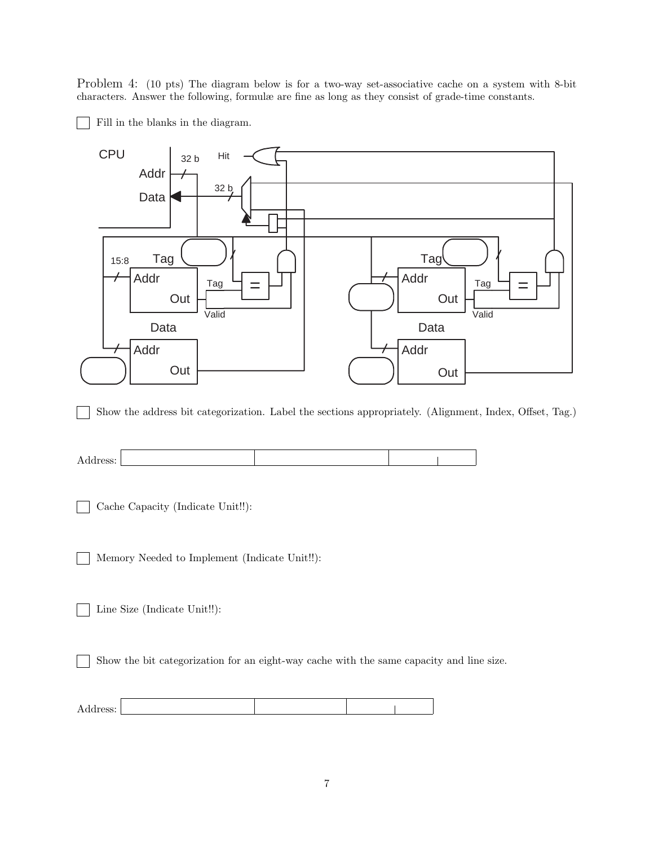Problem 4: (10 pts) The diagram below is for a two-way set-associative cache on a system with 8-bit characters. Answer the following, formulæ are fine as long as they consist of grade-time constants.

Fill in the blanks in the diagram.





Cache Capacity (Indicate Unit!!):  $\sim$ 

Memory Needed to Implement (Indicate Unit!!):  $\blacksquare$ 

Line Size (Indicate Unit!!):

Show the bit categorization for an eight-way cache with the same capacity and line size.

| ິ<br>--<br>$\sim$ |  |  |
|-------------------|--|--|
|                   |  |  |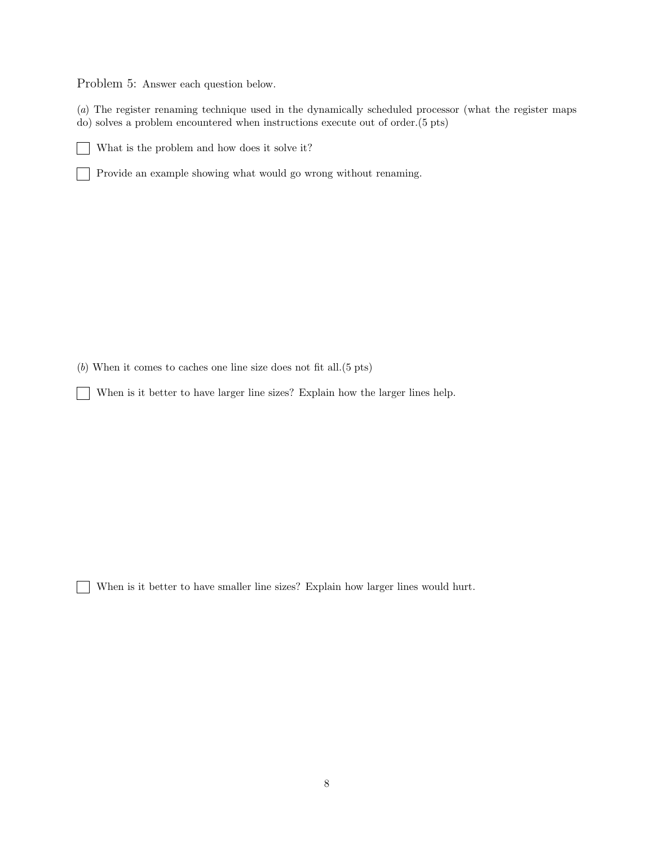Problem 5: Answer each question below.

(*a*) The register renaming technique used in the dynamically scheduled processor (what the register maps do) solves a problem encountered when instructions execute out of order.(5 pts)

What is the problem and how does it solve it?  $\sim$ 

Provide an example showing what would go wrong without renaming.  $\mathbf{L}$ 

(*b*) When it comes to caches one line size does not fit all.(5 pts)

 $\blacksquare$ 

When is it better to have larger line sizes? Explain how the larger lines help.  $\blacksquare$ 

When is it better to have smaller line sizes? Explain how larger lines would hurt.